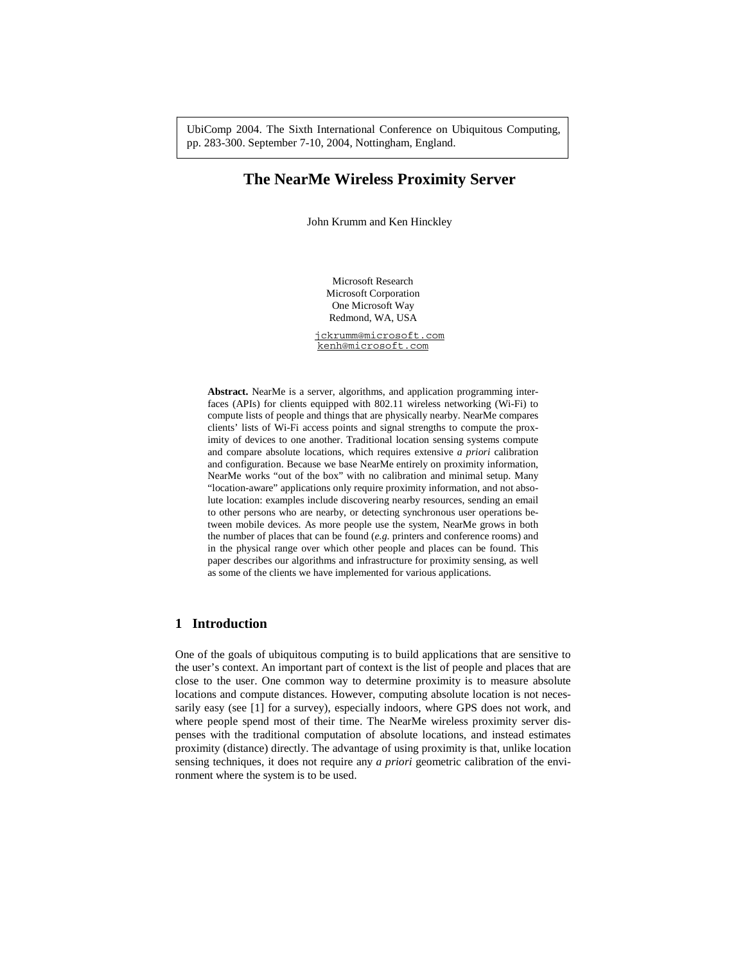UbiComp 2004. The Sixth International Conference on Ubiquitous Computing, pp. 283-300. September 7-10, 2004, Nottingham, England.

# **The NearMe Wireless Proximity Server**

John Krumm and Ken Hinckley

Microsoft Research Microsoft Corporation One Microsoft Way Redmond, WA, USA

jckrumm@microsoft.com kenh@microsoft.com

**Abstract.** NearMe is a server, algorithms, and application programming interfaces (APIs) for clients equipped with 802.11 wireless networking (Wi-Fi) to compute lists of people and things that are physically nearby. NearMe compares clients' lists of Wi-Fi access points and signal strengths to compute the proximity of devices to one another. Traditional location sensing systems compute and compare absolute locations, which requires extensive *a priori* calibration and configuration. Because we base NearMe entirely on proximity information, NearMe works "out of the box" with no calibration and minimal setup. Many "location-aware" applications only require proximity information, and not absolute location: examples include discovering nearby resources, sending an email to other persons who are nearby, or detecting synchronous user operations between mobile devices. As more people use the system, NearMe grows in both the number of places that can be found (*e.g*. printers and conference rooms) and in the physical range over which other people and places can be found. This paper describes our algorithms and infrastructure for proximity sensing, as well as some of the clients we have implemented for various applications.

# **1 Introduction**

One of the goals of ubiquitous computing is to build applications that are sensitive to the user's context. An important part of context is the list of people and places that are close to the user. One common way to determine proximity is to measure absolute locations and compute distances. However, computing absolute location is not necessarily easy (see [1] for a survey), especially indoors, where GPS does not work, and where people spend most of their time. The NearMe wireless proximity server dispenses with the traditional computation of absolute locations, and instead estimates proximity (distance) directly. The advantage of using proximity is that, unlike location sensing techniques, it does not require any *a priori* geometric calibration of the environment where the system is to be used.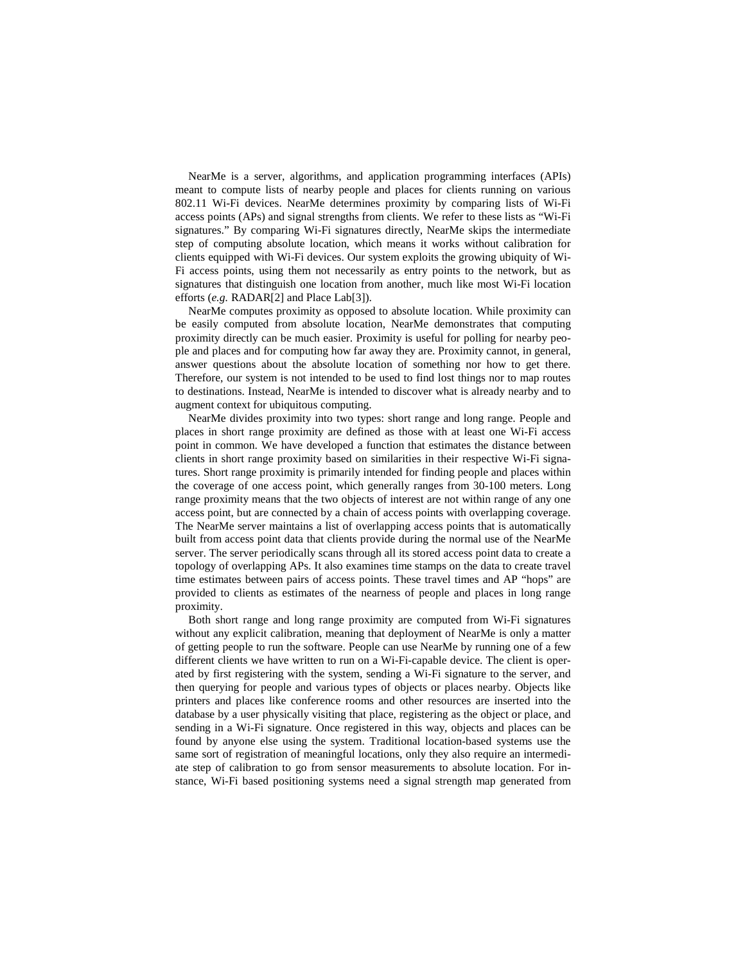NearMe is a server, algorithms, and application programming interfaces (APIs) meant to compute lists of nearby people and places for clients running on various 802.11 Wi-Fi devices. NearMe determines proximity by comparing lists of Wi-Fi access points (APs) and signal strengths from clients. We refer to these lists as "Wi-Fi signatures." By comparing Wi-Fi signatures directly, NearMe skips the intermediate step of computing absolute location, which means it works without calibration for clients equipped with Wi-Fi devices. Our system exploits the growing ubiquity of Wi-Fi access points, using them not necessarily as entry points to the network, but as signatures that distinguish one location from another, much like most Wi-Fi location efforts (*e.g.* RADAR[2] and Place Lab[3]).

NearMe computes proximity as opposed to absolute location. While proximity can be easily computed from absolute location, NearMe demonstrates that computing proximity directly can be much easier. Proximity is useful for polling for nearby people and places and for computing how far away they are. Proximity cannot, in general, answer questions about the absolute location of something nor how to get there. Therefore, our system is not intended to be used to find lost things nor to map routes to destinations. Instead, NearMe is intended to discover what is already nearby and to augment context for ubiquitous computing.

NearMe divides proximity into two types: short range and long range. People and places in short range proximity are defined as those with at least one Wi-Fi access point in common. We have developed a function that estimates the distance between clients in short range proximity based on similarities in their respective Wi-Fi signatures. Short range proximity is primarily intended for finding people and places within the coverage of one access point, which generally ranges from 30-100 meters. Long range proximity means that the two objects of interest are not within range of any one access point, but are connected by a chain of access points with overlapping coverage. The NearMe server maintains a list of overlapping access points that is automatically built from access point data that clients provide during the normal use of the NearMe server. The server periodically scans through all its stored access point data to create a topology of overlapping APs. It also examines time stamps on the data to create travel time estimates between pairs of access points. These travel times and AP "hops" are provided to clients as estimates of the nearness of people and places in long range proximity.

Both short range and long range proximity are computed from Wi-Fi signatures without any explicit calibration, meaning that deployment of NearMe is only a matter of getting people to run the software. People can use NearMe by running one of a few different clients we have written to run on a Wi-Fi-capable device. The client is operated by first registering with the system, sending a Wi-Fi signature to the server, and then querying for people and various types of objects or places nearby. Objects like printers and places like conference rooms and other resources are inserted into the database by a user physically visiting that place, registering as the object or place, and sending in a Wi-Fi signature. Once registered in this way, objects and places can be found by anyone else using the system. Traditional location-based systems use the same sort of registration of meaningful locations, only they also require an intermediate step of calibration to go from sensor measurements to absolute location. For instance, Wi-Fi based positioning systems need a signal strength map generated from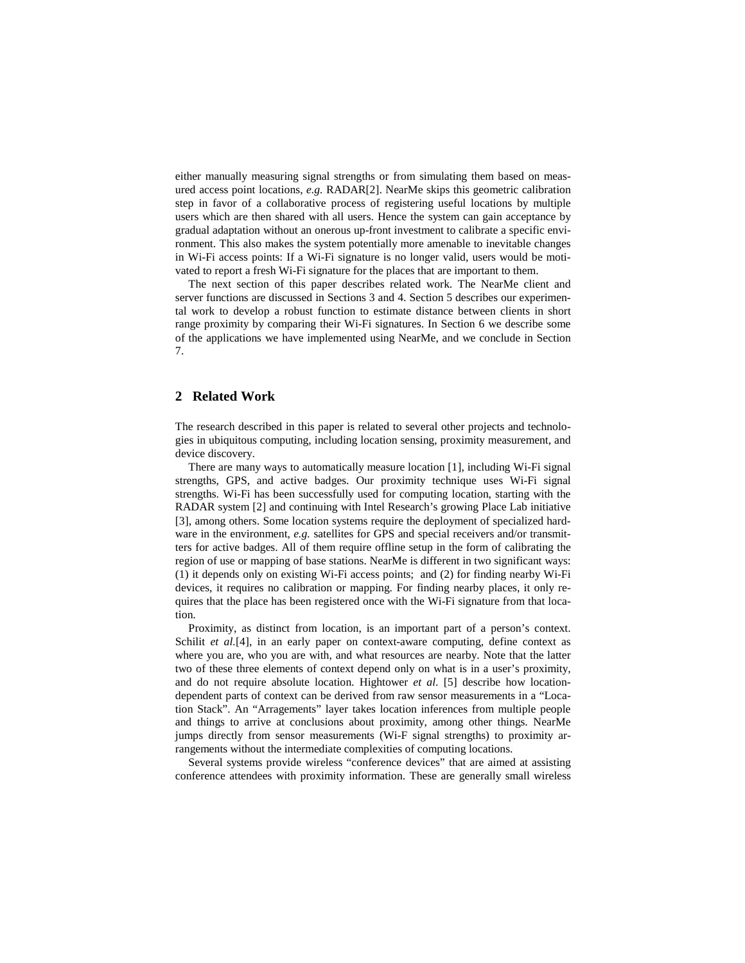either manually measuring signal strengths or from simulating them based on measured access point locations, *e.g.* RADAR[2]. NearMe skips this geometric calibration step in favor of a collaborative process of registering useful locations by multiple users which are then shared with all users. Hence the system can gain acceptance by gradual adaptation without an onerous up-front investment to calibrate a specific environment. This also makes the system potentially more amenable to inevitable changes in Wi-Fi access points: If a Wi-Fi signature is no longer valid, users would be motivated to report a fresh Wi-Fi signature for the places that are important to them.

The next section of this paper describes related work. The NearMe client and server functions are discussed in Sections 3 and 4. Section 5 describes our experimental work to develop a robust function to estimate distance between clients in short range proximity by comparing their Wi-Fi signatures. In Section 6 we describe some of the applications we have implemented using NearMe, and we conclude in Section 7.

## **2 Related Work**

The research described in this paper is related to several other projects and technologies in ubiquitous computing, including location sensing, proximity measurement, and device discovery.

There are many ways to automatically measure location [1], including Wi-Fi signal strengths, GPS, and active badges. Our proximity technique uses Wi-Fi signal strengths. Wi-Fi has been successfully used for computing location, starting with the RADAR system [2] and continuing with Intel Research's growing Place Lab initiative [3], among others. Some location systems require the deployment of specialized hardware in the environment, *e.g.* satellites for GPS and special receivers and/or transmitters for active badges. All of them require offline setup in the form of calibrating the region of use or mapping of base stations. NearMe is different in two significant ways: (1) it depends only on existing Wi-Fi access points; and (2) for finding nearby Wi-Fi devices, it requires no calibration or mapping. For finding nearby places, it only requires that the place has been registered once with the Wi-Fi signature from that location.

Proximity, as distinct from location, is an important part of a person's context. Schilit *et al.*[4], in an early paper on context-aware computing, define context as where you are, who you are with, and what resources are nearby. Note that the latter two of these three elements of context depend only on what is in a user's proximity, and do not require absolute location. Hightower *et al*. [5] describe how locationdependent parts of context can be derived from raw sensor measurements in a "Location Stack". An "Arragements" layer takes location inferences from multiple people and things to arrive at conclusions about proximity, among other things. NearMe jumps directly from sensor measurements (Wi-F signal strengths) to proximity arrangements without the intermediate complexities of computing locations.

Several systems provide wireless "conference devices" that are aimed at assisting conference attendees with proximity information. These are generally small wireless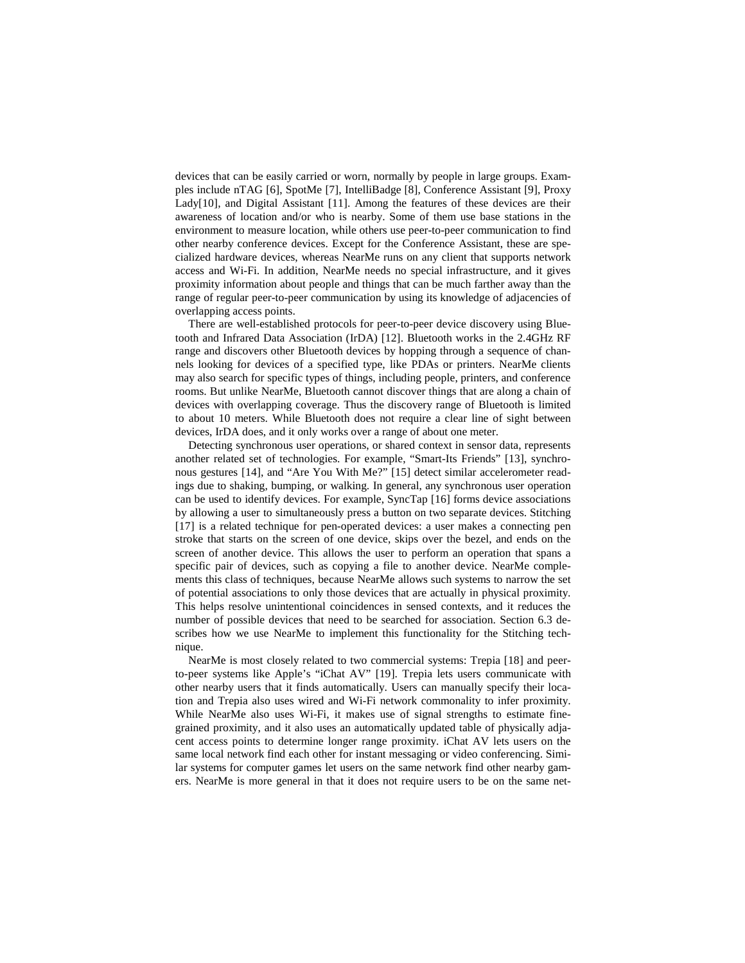devices that can be easily carried or worn, normally by people in large groups. Examples include nTAG [6], SpotMe [7], IntelliBadge [8], Conference Assistant [9], Proxy Lady[10], and Digital Assistant [11]. Among the features of these devices are their awareness of location and/or who is nearby. Some of them use base stations in the environment to measure location, while others use peer-to-peer communication to find other nearby conference devices. Except for the Conference Assistant, these are specialized hardware devices, whereas NearMe runs on any client that supports network access and Wi-Fi. In addition, NearMe needs no special infrastructure, and it gives proximity information about people and things that can be much farther away than the range of regular peer-to-peer communication by using its knowledge of adjacencies of overlapping access points.

There are well-established protocols for peer-to-peer device discovery using Bluetooth and Infrared Data Association (IrDA) [12]. Bluetooth works in the 2.4GHz RF range and discovers other Bluetooth devices by hopping through a sequence of channels looking for devices of a specified type, like PDAs or printers. NearMe clients may also search for specific types of things, including people, printers, and conference rooms. But unlike NearMe, Bluetooth cannot discover things that are along a chain of devices with overlapping coverage. Thus the discovery range of Bluetooth is limited to about 10 meters. While Bluetooth does not require a clear line of sight between devices, IrDA does, and it only works over a range of about one meter.

Detecting synchronous user operations, or shared context in sensor data, represents another related set of technologies. For example, "Smart-Its Friends" [13], synchronous gestures [14], and "Are You With Me?" [15] detect similar accelerometer readings due to shaking, bumping, or walking. In general, any synchronous user operation can be used to identify devices. For example, SyncTap [16] forms device associations by allowing a user to simultaneously press a button on two separate devices. Stitching [17] is a related technique for pen-operated devices: a user makes a connecting pen stroke that starts on the screen of one device, skips over the bezel, and ends on the screen of another device. This allows the user to perform an operation that spans a specific pair of devices, such as copying a file to another device. NearMe complements this class of techniques, because NearMe allows such systems to narrow the set of potential associations to only those devices that are actually in physical proximity. This helps resolve unintentional coincidences in sensed contexts, and it reduces the number of possible devices that need to be searched for association. Section 6.3 describes how we use NearMe to implement this functionality for the Stitching technique.

NearMe is most closely related to two commercial systems: Trepia [18] and peerto-peer systems like Apple's "iChat AV" [19]. Trepia lets users communicate with other nearby users that it finds automatically. Users can manually specify their location and Trepia also uses wired and Wi-Fi network commonality to infer proximity. While NearMe also uses Wi-Fi, it makes use of signal strengths to estimate finegrained proximity, and it also uses an automatically updated table of physically adjacent access points to determine longer range proximity. iChat AV lets users on the same local network find each other for instant messaging or video conferencing. Similar systems for computer games let users on the same network find other nearby gamers. NearMe is more general in that it does not require users to be on the same net-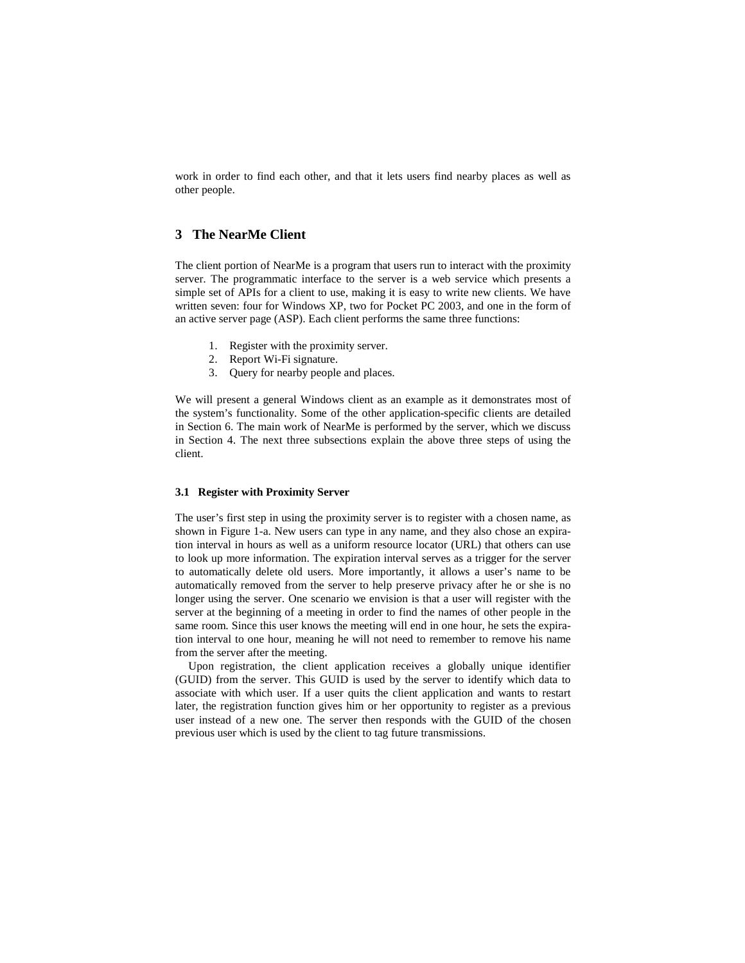work in order to find each other, and that it lets users find nearby places as well as other people.

# **3 The NearMe Client**

The client portion of NearMe is a program that users run to interact with the proximity server. The programmatic interface to the server is a web service which presents a simple set of APIs for a client to use, making it is easy to write new clients. We have written seven: four for Windows XP, two for Pocket PC 2003, and one in the form of an active server page (ASP). Each client performs the same three functions:

- 1. Register with the proximity server.
- 2. Report Wi-Fi signature.
- 3. Query for nearby people and places.

We will present a general Windows client as an example as it demonstrates most of the system's functionality. Some of the other application-specific clients are detailed in Section 6. The main work of NearMe is performed by the server, which we discuss in Section 4. The next three subsections explain the above three steps of using the client.

#### **3.1 Register with Proximity Server**

The user's first step in using the proximity server is to register with a chosen name, as shown in Figure 1-a. New users can type in any name, and they also chose an expiration interval in hours as well as a uniform resource locator (URL) that others can use to look up more information. The expiration interval serves as a trigger for the server to automatically delete old users. More importantly, it allows a user's name to be automatically removed from the server to help preserve privacy after he or she is no longer using the server. One scenario we envision is that a user will register with the server at the beginning of a meeting in order to find the names of other people in the same room. Since this user knows the meeting will end in one hour, he sets the expiration interval to one hour, meaning he will not need to remember to remove his name from the server after the meeting.

Upon registration, the client application receives a globally unique identifier (GUID) from the server. This GUID is used by the server to identify which data to associate with which user. If a user quits the client application and wants to restart later, the registration function gives him or her opportunity to register as a previous user instead of a new one. The server then responds with the GUID of the chosen previous user which is used by the client to tag future transmissions.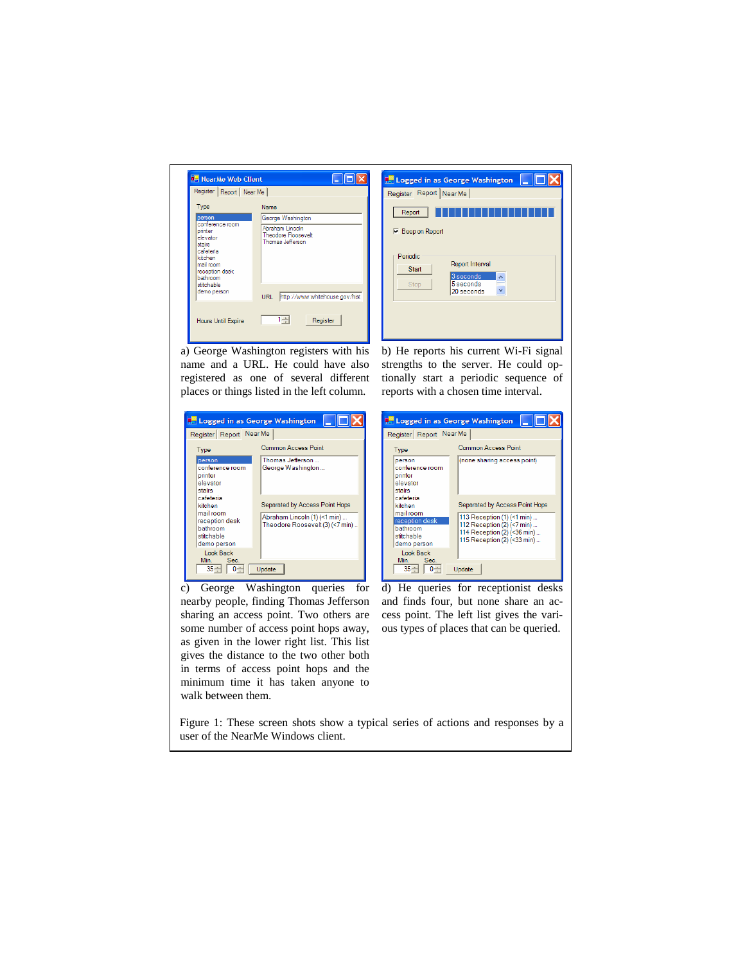| Register   Report   Near Me                                                                                                                                       |                                                                                                                                  | Register Report Near Me                                                                                                                                               |  |
|-------------------------------------------------------------------------------------------------------------------------------------------------------------------|----------------------------------------------------------------------------------------------------------------------------------|-----------------------------------------------------------------------------------------------------------------------------------------------------------------------|--|
| Type<br>person<br>conference room<br>printer<br>elevator<br>stairs<br>cafeteria<br>kitchen<br>mail mom<br>reception desk<br>bathroom<br>stitchable<br>demo person | Name<br>George Washington<br>Abraham Lincoln<br>Theodore Roosevelt<br>Thomas Jefferson<br>http://www.whitehouse.gov/hist<br>URL. | Report<br>$\nabla$ Beep on Report<br>Periodic<br>Report Interval<br><b>Start</b><br>3 seconds<br>$\boldsymbol{\wedge}$<br>5 seconds<br><b>Stop</b><br>×<br>20 seconds |  |
| Hours Until Expire                                                                                                                                                | $1 -$<br>Register                                                                                                                |                                                                                                                                                                       |  |

a) George Washington registers with his name and a URL. He could have also registered as one of several different places or things listed in the left column.

| <b>E.</b> Logged in as George Washington                                        |                                                                                                   |  |  |  |  |
|---------------------------------------------------------------------------------|---------------------------------------------------------------------------------------------------|--|--|--|--|
| Register Report Near Me                                                         |                                                                                                   |  |  |  |  |
| Type                                                                            | <b>Common Access Point</b>                                                                        |  |  |  |  |
| person<br>conference room<br>printer<br>elevator<br>stairs<br>cafeteria         | Thomas Jefferson<br>George Washington                                                             |  |  |  |  |
| kitchen<br>mail room<br>reception desk<br>bathroom<br>stitchable<br>demo person | Separated by Access Point Hops<br>Abraham Lincoln (1) (<1 min)<br>Theodore Roosevelt (3) (<7 min) |  |  |  |  |
| <b>Look Back</b><br>Min.<br>Sec.<br>$35 -$<br>0÷<br>Update                      |                                                                                                   |  |  |  |  |

b) He reports his current Wi-Fi signal strengths to the server. He could optionally start a periodic sequence of reports with a chosen time interval.



c) George Washington queries for nearby people, finding Thomas Jefferson sharing an access point. Two others are some number of access point hops away, as given in the lower right list. This list gives the distance to the two other both in terms of access point hops and the minimum time it has taken anyone to walk between them.

d) He queries for receptionist desks and finds four, but none share an access point. The left list gives the various types of places that can be queried.

Figure 1: These screen shots show a typical series of actions and responses by a user of the NearMe Windows client.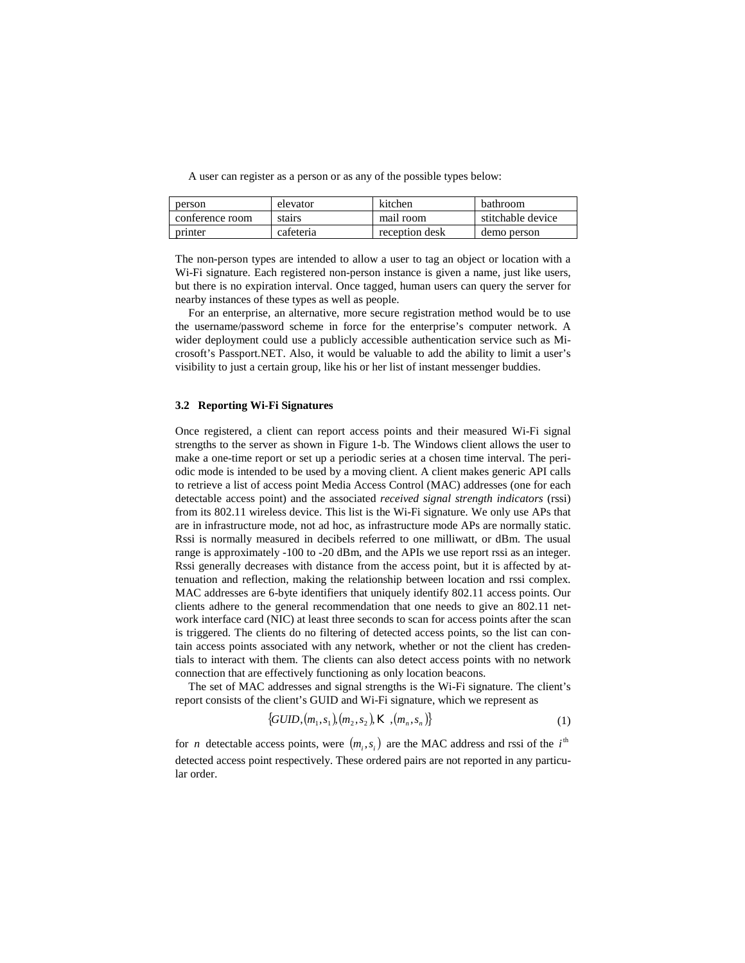A user can register as a person or as any of the possible types below:

| person          | elevator  | kitchen        | <b>bathroom</b>   |
|-----------------|-----------|----------------|-------------------|
| conference room | stairs    | mail room      | stitchable device |
| printer         | cafeteria | reception desk | demo person       |

The non-person types are intended to allow a user to tag an object or location with a Wi-Fi signature. Each registered non-person instance is given a name, just like users, but there is no expiration interval. Once tagged, human users can query the server for nearby instances of these types as well as people.

For an enterprise, an alternative, more secure registration method would be to use the username/password scheme in force for the enterprise's computer network. A wider deployment could use a publicly accessible authentication service such as Microsoft's Passport.NET. Also, it would be valuable to add the ability to limit a user's visibility to just a certain group, like his or her list of instant messenger buddies.

#### **3.2 Reporting Wi-Fi Signatures**

Once registered, a client can report access points and their measured Wi-Fi signal strengths to the server as shown in Figure 1-b. The Windows client allows the user to make a one-time report or set up a periodic series at a chosen time interval. The periodic mode is intended to be used by a moving client. A client makes generic API calls to retrieve a list of access point Media Access Control (MAC) addresses (one for each detectable access point) and the associated *received signal strength indicators* (rssi) from its 802.11 wireless device. This list is the Wi-Fi signature. We only use APs that are in infrastructure mode, not ad hoc, as infrastructure mode APs are normally static. Rssi is normally measured in decibels referred to one milliwatt, or dBm. The usual range is approximately -100 to -20 dBm, and the APIs we use report rssi as an integer. Rssi generally decreases with distance from the access point, but it is affected by attenuation and reflection, making the relationship between location and rssi complex. MAC addresses are 6-byte identifiers that uniquely identify 802.11 access points. Our clients adhere to the general recommendation that one needs to give an 802.11 network interface card (NIC) at least three seconds to scan for access points after the scan is triggered. The clients do no filtering of detected access points, so the list can contain access points associated with any network, whether or not the client has credentials to interact with them. The clients can also detect access points with no network connection that are effectively functioning as only location beacons.

The set of MAC addresses and signal strengths is the Wi-Fi signature. The client's report consists of the client's GUID and Wi-Fi signature, which we represent as

$$
{GUID,(m_1,s_1),(m_2,s_2),\mathsf{K},(m_n,s_n)}
$$
 (1)

for *n* detectable access points, were  $(m_i, s_i)$  are the MAC address and rssi of the  $i^{\text{th}}$ detected access point respectively. These ordered pairs are not reported in any particular order.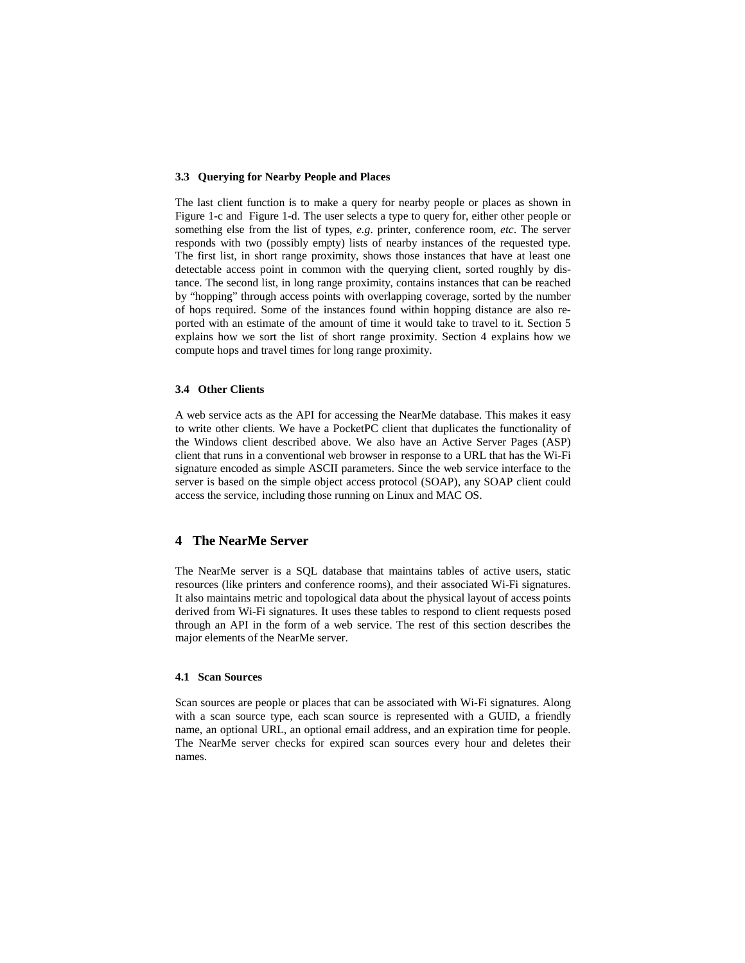### **3.3 Querying for Nearby People and Places**

The last client function is to make a query for nearby people or places as shown in Figure 1-c and Figure 1-d. The user selects a type to query for, either other people or something else from the list of types, *e.g*. printer, conference room, *etc*. The server responds with two (possibly empty) lists of nearby instances of the requested type. The first list, in short range proximity, shows those instances that have at least one detectable access point in common with the querying client, sorted roughly by distance. The second list, in long range proximity, contains instances that can be reached by "hopping" through access points with overlapping coverage, sorted by the number of hops required. Some of the instances found within hopping distance are also reported with an estimate of the amount of time it would take to travel to it. Section 5 explains how we sort the list of short range proximity. Section 4 explains how we compute hops and travel times for long range proximity.

## **3.4 Other Clients**

A web service acts as the API for accessing the NearMe database. This makes it easy to write other clients. We have a PocketPC client that duplicates the functionality of the Windows client described above. We also have an Active Server Pages (ASP) client that runs in a conventional web browser in response to a URL that has the Wi-Fi signature encoded as simple ASCII parameters. Since the web service interface to the server is based on the simple object access protocol (SOAP), any SOAP client could access the service, including those running on Linux and MAC OS.

# **4 The NearMe Server**

The NearMe server is a SQL database that maintains tables of active users, static resources (like printers and conference rooms), and their associated Wi-Fi signatures. It also maintains metric and topological data about the physical layout of access points derived from Wi-Fi signatures. It uses these tables to respond to client requests posed through an API in the form of a web service. The rest of this section describes the major elements of the NearMe server.

## **4.1 Scan Sources**

Scan sources are people or places that can be associated with Wi-Fi signatures. Along with a scan source type, each scan source is represented with a GUID, a friendly name, an optional URL, an optional email address, and an expiration time for people. The NearMe server checks for expired scan sources every hour and deletes their names.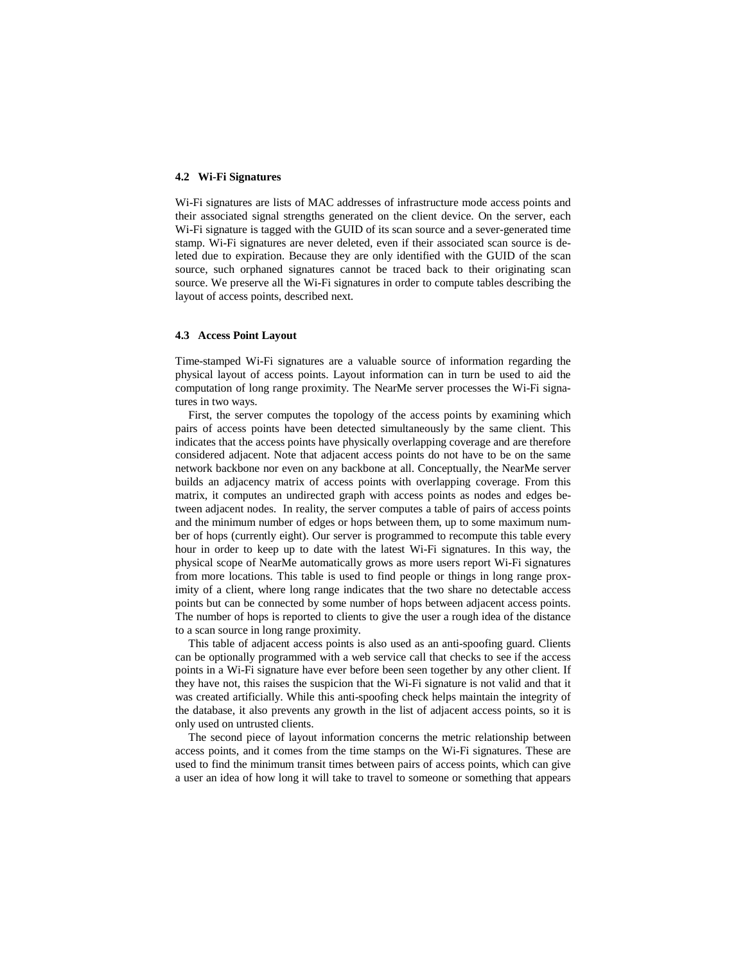### **4.2 Wi-Fi Signatures**

Wi-Fi signatures are lists of MAC addresses of infrastructure mode access points and their associated signal strengths generated on the client device. On the server, each Wi-Fi signature is tagged with the GUID of its scan source and a sever-generated time stamp. Wi-Fi signatures are never deleted, even if their associated scan source is deleted due to expiration. Because they are only identified with the GUID of the scan source, such orphaned signatures cannot be traced back to their originating scan source. We preserve all the Wi-Fi signatures in order to compute tables describing the layout of access points, described next.

### **4.3 Access Point Layout**

Time-stamped Wi-Fi signatures are a valuable source of information regarding the physical layout of access points. Layout information can in turn be used to aid the computation of long range proximity. The NearMe server processes the Wi-Fi signatures in two ways.

First, the server computes the topology of the access points by examining which pairs of access points have been detected simultaneously by the same client. This indicates that the access points have physically overlapping coverage and are therefore considered adjacent. Note that adjacent access points do not have to be on the same network backbone nor even on any backbone at all. Conceptually, the NearMe server builds an adjacency matrix of access points with overlapping coverage. From this matrix, it computes an undirected graph with access points as nodes and edges between adjacent nodes. In reality, the server computes a table of pairs of access points and the minimum number of edges or hops between them, up to some maximum number of hops (currently eight). Our server is programmed to recompute this table every hour in order to keep up to date with the latest Wi-Fi signatures. In this way, the physical scope of NearMe automatically grows as more users report Wi-Fi signatures from more locations. This table is used to find people or things in long range proximity of a client, where long range indicates that the two share no detectable access points but can be connected by some number of hops between adjacent access points. The number of hops is reported to clients to give the user a rough idea of the distance to a scan source in long range proximity.

This table of adjacent access points is also used as an anti-spoofing guard. Clients can be optionally programmed with a web service call that checks to see if the access points in a Wi-Fi signature have ever before been seen together by any other client. If they have not, this raises the suspicion that the Wi-Fi signature is not valid and that it was created artificially. While this anti-spoofing check helps maintain the integrity of the database, it also prevents any growth in the list of adjacent access points, so it is only used on untrusted clients.

The second piece of layout information concerns the metric relationship between access points, and it comes from the time stamps on the Wi-Fi signatures. These are used to find the minimum transit times between pairs of access points, which can give a user an idea of how long it will take to travel to someone or something that appears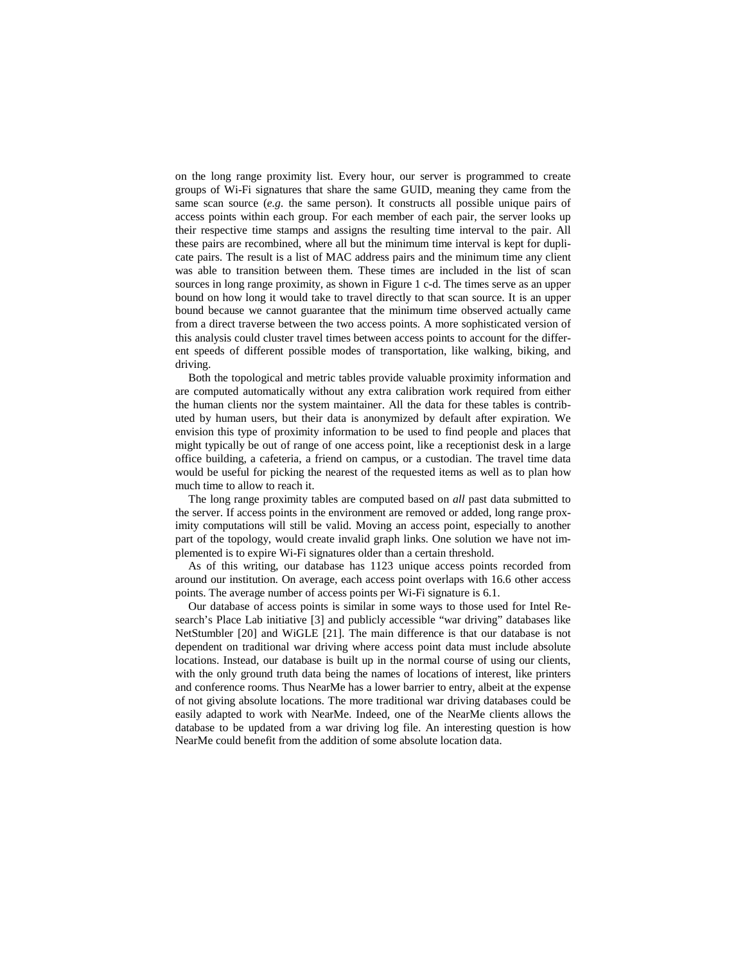on the long range proximity list. Every hour, our server is programmed to create groups of Wi-Fi signatures that share the same GUID, meaning they came from the same scan source (*e.g.* the same person). It constructs all possible unique pairs of access points within each group. For each member of each pair, the server looks up their respective time stamps and assigns the resulting time interval to the pair. All these pairs are recombined, where all but the minimum time interval is kept for duplicate pairs. The result is a list of MAC address pairs and the minimum time any client was able to transition between them. These times are included in the list of scan sources in long range proximity, as shown in Figure 1 c-d. The times serve as an upper bound on how long it would take to travel directly to that scan source. It is an upper bound because we cannot guarantee that the minimum time observed actually came from a direct traverse between the two access points. A more sophisticated version of this analysis could cluster travel times between access points to account for the different speeds of different possible modes of transportation, like walking, biking, and driving.

Both the topological and metric tables provide valuable proximity information and are computed automatically without any extra calibration work required from either the human clients nor the system maintainer. All the data for these tables is contributed by human users, but their data is anonymized by default after expiration. We envision this type of proximity information to be used to find people and places that might typically be out of range of one access point, like a receptionist desk in a large office building, a cafeteria, a friend on campus, or a custodian. The travel time data would be useful for picking the nearest of the requested items as well as to plan how much time to allow to reach it.

The long range proximity tables are computed based on *all* past data submitted to the server. If access points in the environment are removed or added, long range proximity computations will still be valid. Moving an access point, especially to another part of the topology, would create invalid graph links. One solution we have not implemented is to expire Wi-Fi signatures older than a certain threshold.

As of this writing, our database has 1123 unique access points recorded from around our institution. On average, each access point overlaps with 16.6 other access points. The average number of access points per Wi-Fi signature is 6.1.

Our database of access points is similar in some ways to those used for Intel Research's Place Lab initiative [3] and publicly accessible "war driving" databases like NetStumbler [20] and WiGLE [21]. The main difference is that our database is not dependent on traditional war driving where access point data must include absolute locations. Instead, our database is built up in the normal course of using our clients, with the only ground truth data being the names of locations of interest, like printers and conference rooms. Thus NearMe has a lower barrier to entry, albeit at the expense of not giving absolute locations. The more traditional war driving databases could be easily adapted to work with NearMe. Indeed, one of the NearMe clients allows the database to be updated from a war driving log file. An interesting question is how NearMe could benefit from the addition of some absolute location data.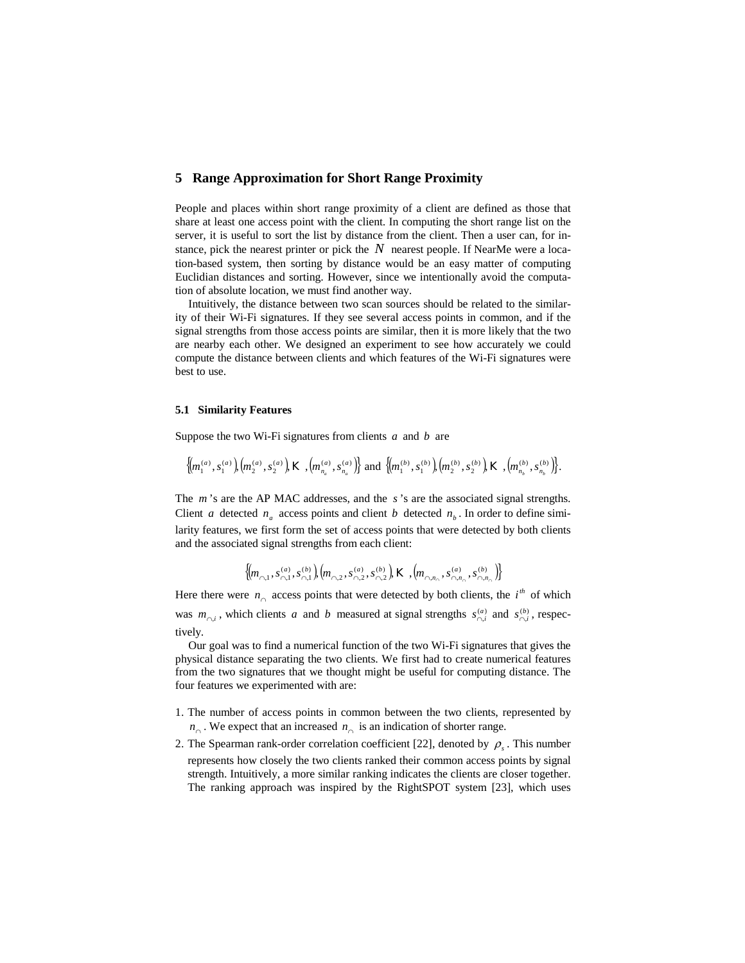## **5 Range Approximation for Short Range Proximity**

People and places within short range proximity of a client are defined as those that share at least one access point with the client. In computing the short range list on the server, it is useful to sort the list by distance from the client. Then a user can, for instance, pick the nearest printer or pick the  $N$  nearest people. If NearMe were a location-based system, then sorting by distance would be an easy matter of computing Euclidian distances and sorting. However, since we intentionally avoid the computation of absolute location, we must find another way.

Intuitively, the distance between two scan sources should be related to the similarity of their Wi-Fi signatures. If they see several access points in common, and if the signal strengths from those access points are similar, then it is more likely that the two are nearby each other. We designed an experiment to see how accurately we could compute the distance between clients and which features of the Wi-Fi signatures were best to use.

#### **5.1 Similarity Features**

Suppose the two Wi-Fi signatures from clients *a* and *b* are

$$
\{ (m_1^{(a)}, s_1^{(a)}) , (m_2^{(a)}, s_2^{(a)}) , \mathsf{K} , (m_{n_a}^{(a)}, s_{n_a}^{(a)}) \} \text{ and } \{ (m_1^{(b)}, s_1^{(b)}) , (m_2^{(b)}, s_2^{(b)}) , \mathsf{K} , (m_{n_b}^{(b)}, s_{n_b}^{(b)}) \}.
$$

The *m* 's are the AP MAC addresses, and the *s* 's are the associated signal strengths. Client *a* detected  $n_a$  access points and client *b* detected  $n_b$ . In order to define similarity features, we first form the set of access points that were detected by both clients and the associated signal strengths from each client:

$$
\left\{ \! \left( m_{\cap,1}^{}, s_{\cap,1}^{(a)}, s_{\cap,1}^{(b)} \right) \! , \! \left( m_{\cap,2}^{}, s_{\cap,2}^{(a)}, s_{\cap,2}^{(b)} \right) \! , \mathsf{K}^{}, \left( m_{\cap, n_{\cap}}^{}, s_{\cap, n_{\cap}}^{(a)}, s_{\cap, n_{\cap}}^{(b)} \right) \! \right\}
$$

Here there were  $n_0$  access points that were detected by both clients, the *i*<sup>th</sup> of which was  $m_{\alpha,i}$ , which clients *a* and *b* measured at signal strengths  $s_{\alpha,i}^{(a)}$  and  $s_{\alpha,i}^{(b)}$ , respectively.

Our goal was to find a numerical function of the two Wi-Fi signatures that gives the physical distance separating the two clients. We first had to create numerical features from the two signatures that we thought might be useful for computing distance. The four features we experimented with are:

- 1. The number of access points in common between the two clients, represented by  $n<sub>o</sub>$ . We expect that an increased  $n<sub>o</sub>$  is an indication of shorter range.
- 2. The Spearman rank-order correlation coefficient [22], denoted by  $\rho_{\rm s}$ . This number represents how closely the two clients ranked their common access points by signal strength. Intuitively, a more similar ranking indicates the clients are closer together. The ranking approach was inspired by the RightSPOT system [23], which uses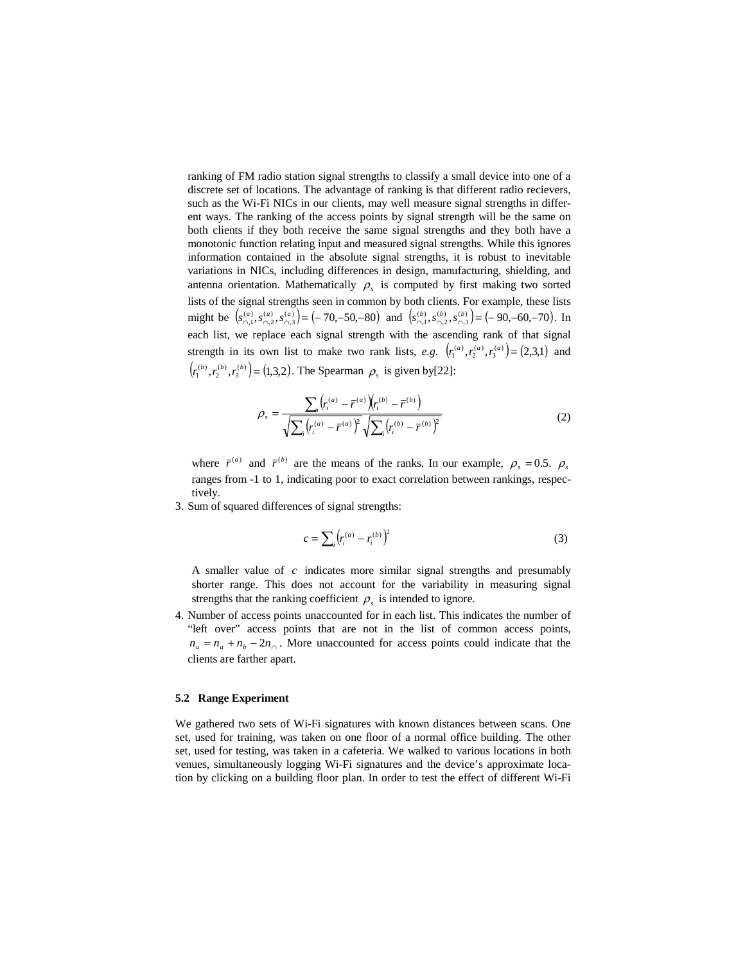ranking of FM radio station signal strengths to classify a small device into one of a discrete set of locations. The advantage of ranking is that different radio recievers, such as the Wi-Fi NICs in our clients, may well measure signal strengths in different ways. The ranking of the access points by signal strength will be the same on both clients if they both receive the same signal strengths and they both have a monotonic function relating input and measured signal strengths. While this ignores information contained in the absolute signal strengths, it is robust to inevitable variations in NICs, including differences in design, manufacturing, shielding, and antenna orientation. Mathematically  $\rho_s$  is computed by first making two sorted lists of the signal strengths seen in common by both clients. For example, these lists might be  $(s_{0,1}^{(a)}, s_{0,2}^{(a)}, s_{0,3}^{(a)}) = (-70, -50, -80)$  and  $(s_{0,1}^{(b)}, s_{0,2}^{(b)}, s_{0,3}^{(b)}) = (-90, -60, -70)$ . In each list, we replace each signal strength with the ascending rank of that signal strength in its own list to make two rank lists, *e.g.*  $(r_1^{(a)}, r_2^{(a)}, r_3^{(a)}) = (2,3,1)$  and  $(r_1^{(b)}, r_2^{(b)}, r_3^{(b)}) = (1,3,2)$ . The Spearman  $\rho_s$  is given by[22]:

$$
\rho_{s} = \frac{\sum_{i} (r_{i}^{(a)} - \bar{r}^{(a)}) (r_{i}^{(b)} - \bar{r}^{(b)})}{\sqrt{\sum_{i} (r_{i}^{(a)} - \bar{r}^{(a)})^{2}} \sqrt{\sum_{i} (r_{i}^{(b)} - \bar{r}^{(b)})^{2}}}
$$
(2)

where  $\bar{r}^{(a)}$  and  $\bar{r}^{(b)}$  are the means of the ranks. In our example,  $\rho_s = 0.5$ .  $\rho_s$ ranges from -1 to 1, indicating poor to exact correlation between rankings, respectively.

3. Sum of squared differences of signal strengths:

$$
c = \sum_{i} (r_i^{(a)} - r_i^{(b)})^2
$$
 (3)

A smaller value of *c* indicates more similar signal strengths and presumably shorter range. This does not account for the variability in measuring signal strengths that the ranking coefficient  $\rho_s$  is intended to ignore.

4. Number of access points unaccounted for in each list. This indicates the number of "left over" access points that are not in the list of common access points,  $n_u = n_a + n_b - 2n_a$ . More unaccounted for access points could indicate that the clients are farther apart.

#### **5.2 Range Experiment**

We gathered two sets of Wi-Fi signatures with known distances between scans. One set, used for training, was taken on one floor of a normal office building. The other set, used for testing, was taken in a cafeteria. We walked to various locations in both venues, simultaneously logging Wi-Fi signatures and the device's approximate location by clicking on a building floor plan. In order to test the effect of different Wi-Fi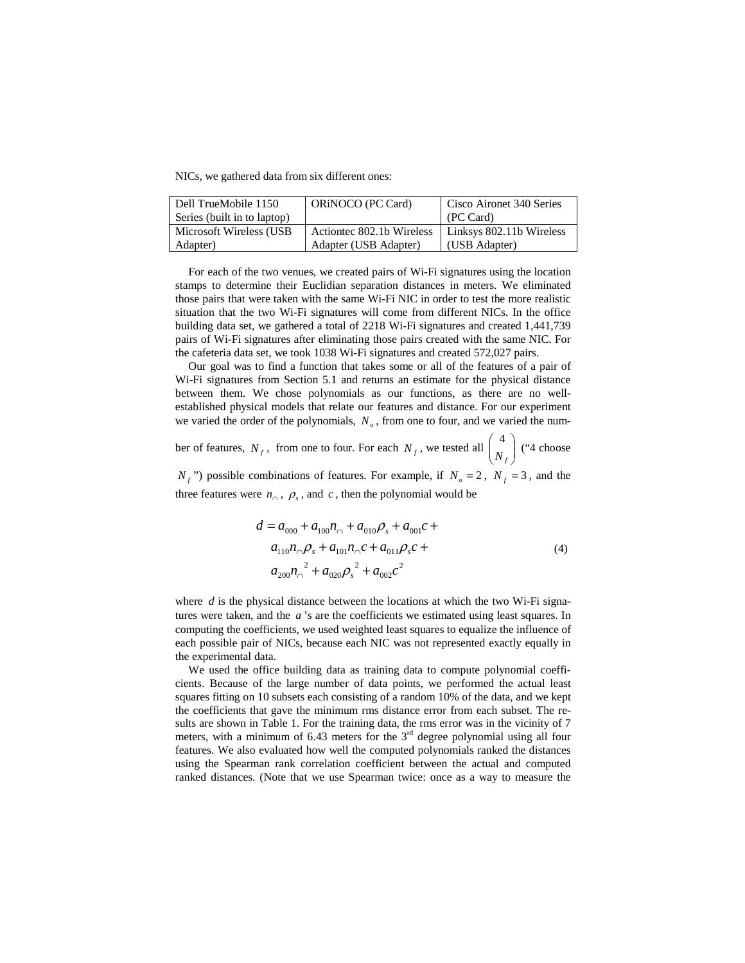NICs, we gathered data from six different ones:

| Dell TrueMobile 1150        | ORINOCO (PC Card)         | Cisco Aironet 340 Series |
|-----------------------------|---------------------------|--------------------------|
| Series (built in to laptop) |                           | (PC Card)                |
| Microsoft Wireless (USB)    | Actiontec 802.1b Wireless | Linksys 802.11b Wireless |
| Adapter)                    | Adapter (USB Adapter)     | (USB Adapter)            |

For each of the two venues, we created pairs of Wi-Fi signatures using the location stamps to determine their Euclidian separation distances in meters. We eliminated those pairs that were taken with the same Wi-Fi NIC in order to test the more realistic situation that the two Wi-Fi signatures will come from different NICs. In the office building data set, we gathered a total of 2218 Wi-Fi signatures and created 1,441,739 pairs of Wi-Fi signatures after eliminating those pairs created with the same NIC. For the cafeteria data set, we took 1038 Wi-Fi signatures and created 572,027 pairs.

Our goal was to find a function that takes some or all of the features of a pair of Wi-Fi signatures from Section 5.1 and returns an estimate for the physical distance between them. We chose polynomials as our functions, as there are no wellestablished physical models that relate our features and distance. For our experiment we varied the order of the polynomials,  $N_a$ , from one to four, and we varied the num-

ber of features,  $N_f$ , from one to four. For each  $N_f$ , we tested all  $\begin{bmatrix} N_f \end{bmatrix}$ ⎠ ⎞  $\parallel$ ⎝ ⎛ *N f*  $\begin{pmatrix} 4 \\ 1 \end{pmatrix}$  ("4 choose  $N_f$ ") possible combinations of features. For example, if  $N_o = 2$ ,  $N_f = 3$ , and the

three features were  $n_{\alpha}$ ,  $\rho_s$ , and *c*, then the polynomial would be

$$
d = a_{000} + a_{100}n_{\cap} + a_{010}\rho_s + a_{001}c +
$$
  
\n
$$
a_{110}n_{\cap}\rho_s + a_{101}n_{\cap}c + a_{011}\rho_s c +
$$
  
\n
$$
a_{200}n_{\cap}^2 + a_{020}\rho_s^2 + a_{002}c^2
$$
\n(4)

where *d* is the physical distance between the locations at which the two Wi-Fi signatures were taken, and the *a* 's are the coefficients we estimated using least squares. In computing the coefficients, we used weighted least squares to equalize the influence of each possible pair of NICs, because each NIC was not represented exactly equally in the experimental data.

We used the office building data as training data to compute polynomial coefficients. Because of the large number of data points, we performed the actual least squares fitting on 10 subsets each consisting of a random 10% of the data, and we kept the coefficients that gave the minimum rms distance error from each subset. The results are shown in Table 1. For the training data, the rms error was in the vicinity of 7 meters, with a minimum of 6.43 meters for the  $3<sup>rd</sup>$  degree polynomial using all four features. We also evaluated how well the computed polynomials ranked the distances using the Spearman rank correlation coefficient between the actual and computed ranked distances. (Note that we use Spearman twice: once as a way to measure the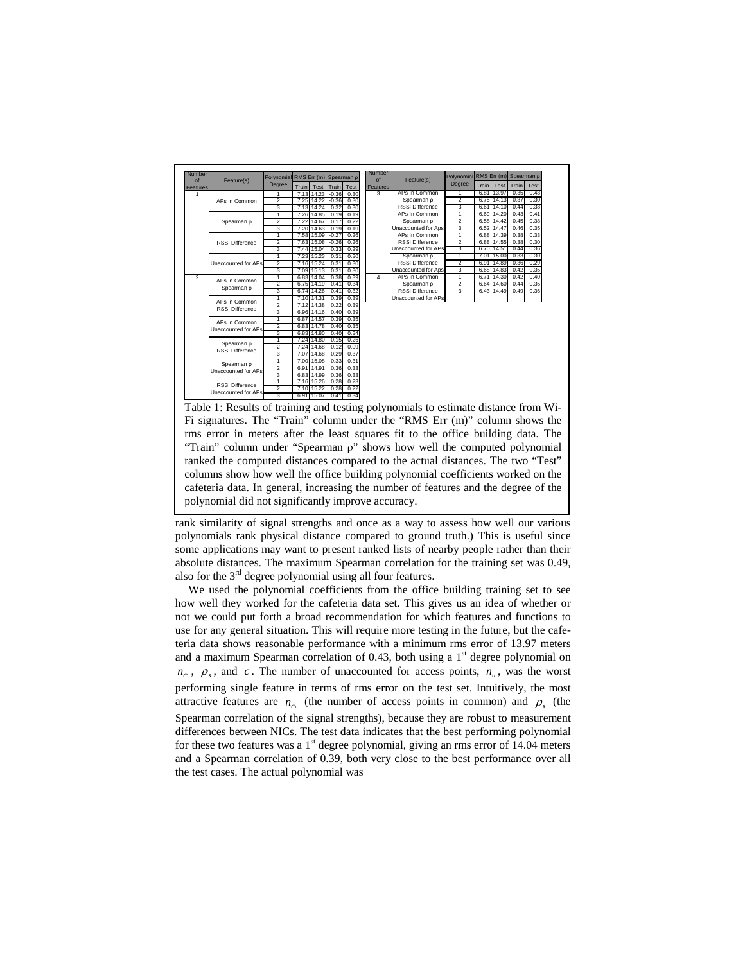

Table 1: Results of training and testing polynomials to estimate distance from Wi-Fi signatures. The "Train" column under the "RMS Err (m)" column shows the rms error in meters after the least squares fit to the office building data. The "Train" column under "Spearman ρ" shows how well the computed polynomial ranked the computed distances compared to the actual distances. The two "Test" columns show how well the office building polynomial coefficients worked on the cafeteria data. In general, increasing the number of features and the degree of the polynomial did not significantly improve accuracy.

rank similarity of signal strengths and once as a way to assess how well our various polynomials rank physical distance compared to ground truth.) This is useful since some applications may want to present ranked lists of nearby people rather than their absolute distances. The maximum Spearman correlation for the training set was 0.49, also for the 3rd degree polynomial using all four features.

We used the polynomial coefficients from the office building training set to see how well they worked for the cafeteria data set. This gives us an idea of whether or not we could put forth a broad recommendation for which features and functions to use for any general situation. This will require more testing in the future, but the cafeteria data shows reasonable performance with a minimum rms error of 13.97 meters and a maximum Spearman correlation of 0.43, both using a  $1<sup>st</sup>$  degree polynomial on  $n_{\alpha}$ ,  $\rho$ , and *c*. The number of unaccounted for access points,  $n_{\mu}$ , was the worst performing single feature in terms of rms error on the test set. Intuitively, the most attractive features are  $n_0$  (the number of access points in common) and  $\rho_s$  (the Spearman correlation of the signal strengths), because they are robust to measurement differences between NICs. The test data indicates that the best performing polynomial for these two features was a  $1<sup>st</sup>$  degree polynomial, giving an rms error of 14.04 meters and a Spearman correlation of 0.39, both very close to the best performance over all the test cases. The actual polynomial was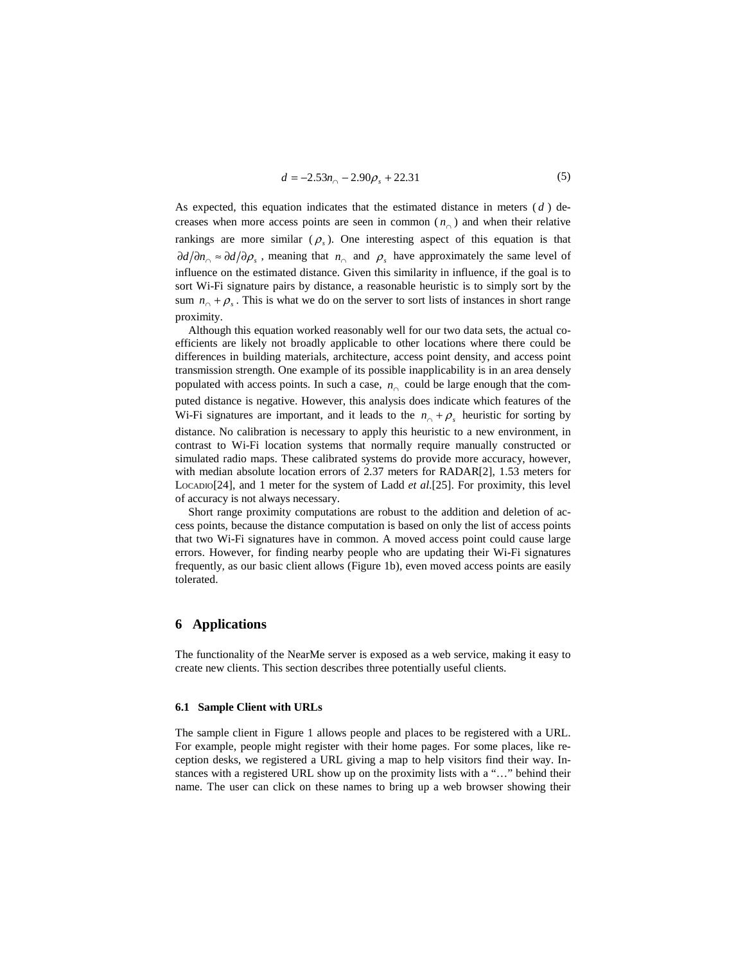$$
d = -2.53n_0 - 2.90\rho_s + 22.31\tag{5}
$$

As expected, this equation indicates that the estimated distance in meters ( *d* ) decreases when more access points are seen in common  $(n<sub>o</sub>)$  and when their relative rankings are more similar  $(\rho_s)$ . One interesting aspect of this equation is that  $\partial d/\partial n$ <sup>*n*</sup> ≈  $\partial d/\partial \rho$ <sub>*s*</sub>, meaning that  $n$ <sup>*n*</sup> and  $\rho$ <sub>*s*</sub> have approximately the same level of influence on the estimated distance. Given this similarity in influence, if the goal is to sort Wi-Fi signature pairs by distance, a reasonable heuristic is to simply sort by the sum  $n_{\alpha} + \rho_s$ . This is what we do on the server to sort lists of instances in short range proximity.

Although this equation worked reasonably well for our two data sets, the actual coefficients are likely not broadly applicable to other locations where there could be differences in building materials, architecture, access point density, and access point transmission strength. One example of its possible inapplicability is in an area densely populated with access points. In such a case,  $n_0$  could be large enough that the computed distance is negative. However, this analysis does indicate which features of the Wi-Fi signatures are important, and it leads to the  $n_0 + \rho_s$  heuristic for sorting by distance. No calibration is necessary to apply this heuristic to a new environment, in contrast to Wi-Fi location systems that normally require manually constructed or simulated radio maps. These calibrated systems do provide more accuracy, however, with median absolute location errors of 2.37 meters for RADAR[2], 1.53 meters for LOCADIO[24], and 1 meter for the system of Ladd *et al*.[25]. For proximity, this level of accuracy is not always necessary.

Short range proximity computations are robust to the addition and deletion of access points, because the distance computation is based on only the list of access points that two Wi-Fi signatures have in common. A moved access point could cause large errors. However, for finding nearby people who are updating their Wi-Fi signatures frequently, as our basic client allows (Figure 1b), even moved access points are easily tolerated.

## **6 Applications**

The functionality of the NearMe server is exposed as a web service, making it easy to create new clients. This section describes three potentially useful clients.

#### **6.1 Sample Client with URLs**

The sample client in Figure 1 allows people and places to be registered with a URL. For example, people might register with their home pages. For some places, like reception desks, we registered a URL giving a map to help visitors find their way. Instances with a registered URL show up on the proximity lists with a "…" behind their name. The user can click on these names to bring up a web browser showing their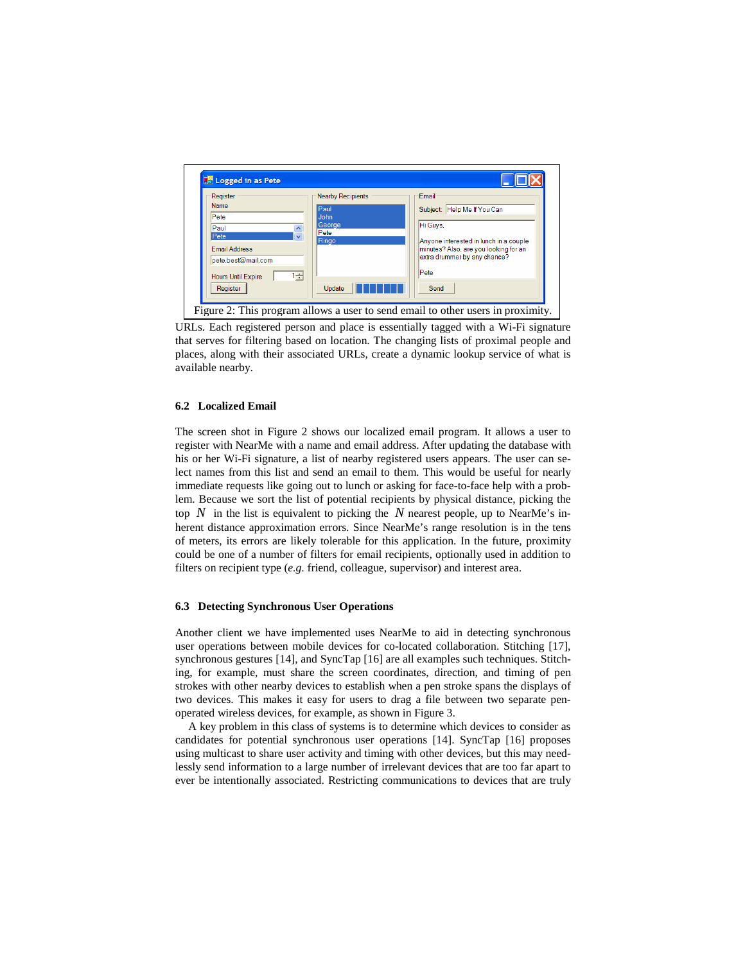

URLs. Each registered person and place is essentially tagged with a Wi-Fi signature that serves for filtering based on location. The changing lists of proximal people and places, along with their associated URLs, create a dynamic lookup service of what is available nearby.

## **6.2 Localized Email**

The screen shot in Figure 2 shows our localized email program. It allows a user to register with NearMe with a name and email address. After updating the database with his or her Wi-Fi signature, a list of nearby registered users appears. The user can select names from this list and send an email to them. This would be useful for nearly immediate requests like going out to lunch or asking for face-to-face help with a problem. Because we sort the list of potential recipients by physical distance, picking the top  $N$  in the list is equivalent to picking the  $N$  nearest people, up to NearMe's inherent distance approximation errors. Since NearMe's range resolution is in the tens of meters, its errors are likely tolerable for this application. In the future, proximity could be one of a number of filters for email recipients, optionally used in addition to filters on recipient type (*e.g.* friend, colleague, supervisor) and interest area.

#### **6.3 Detecting Synchronous User Operations**

Another client we have implemented uses NearMe to aid in detecting synchronous user operations between mobile devices for co-located collaboration. Stitching [17], synchronous gestures [14], and SyncTap [16] are all examples such techniques. Stitching, for example, must share the screen coordinates, direction, and timing of pen strokes with other nearby devices to establish when a pen stroke spans the displays of two devices. This makes it easy for users to drag a file between two separate penoperated wireless devices, for example, as shown in Figure 3.

A key problem in this class of systems is to determine which devices to consider as candidates for potential synchronous user operations [14]. SyncTap [16] proposes using multicast to share user activity and timing with other devices, but this may needlessly send information to a large number of irrelevant devices that are too far apart to ever be intentionally associated. Restricting communications to devices that are truly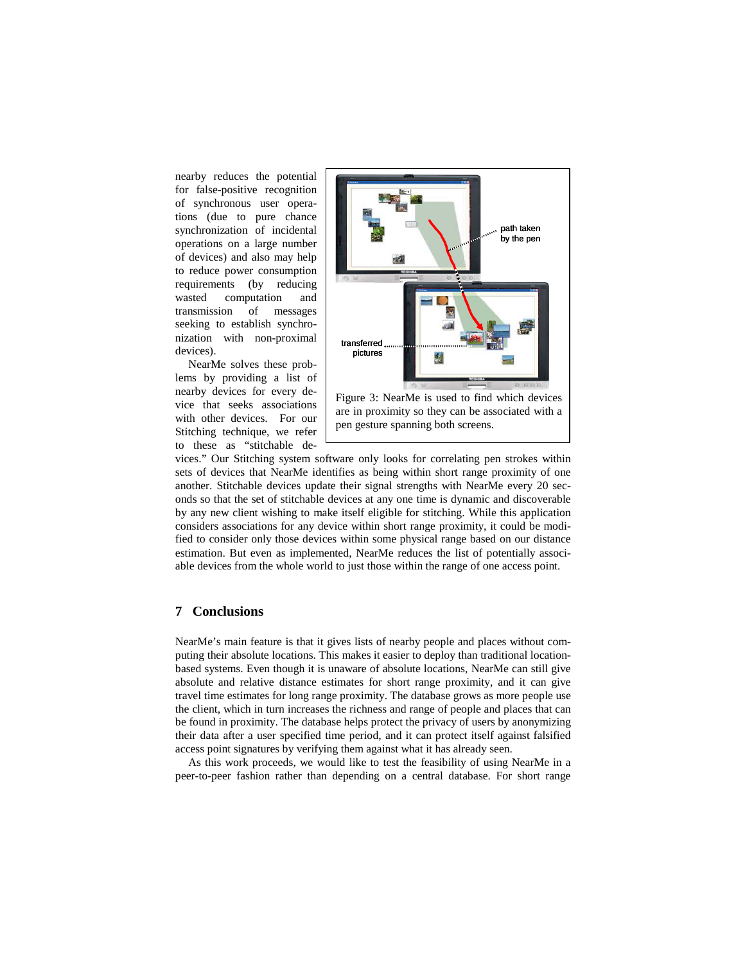nearby reduces the potential for false-positive recognition of synchronous user operations (due to pure chance synchronization of incidental operations on a large number of devices) and also may help to reduce power consumption requirements (by reducing wasted computation and transmission of messages seeking to establish synchronization with non-proximal devices).

NearMe solves these problems by providing a list of nearby devices for every device that seeks associations with other devices. For our Stitching technique, we refer to these as "stitchable de-



are in proximity so they can be associated with a pen gesture spanning both screens.

vices." Our Stitching system software only looks for correlating pen strokes within sets of devices that NearMe identifies as being within short range proximity of one another. Stitchable devices update their signal strengths with NearMe every 20 seconds so that the set of stitchable devices at any one time is dynamic and discoverable by any new client wishing to make itself eligible for stitching. While this application considers associations for any device within short range proximity, it could be modified to consider only those devices within some physical range based on our distance estimation. But even as implemented, NearMe reduces the list of potentially associable devices from the whole world to just those within the range of one access point.

# **7 Conclusions**

NearMe's main feature is that it gives lists of nearby people and places without computing their absolute locations. This makes it easier to deploy than traditional locationbased systems. Even though it is unaware of absolute locations, NearMe can still give absolute and relative distance estimates for short range proximity, and it can give travel time estimates for long range proximity. The database grows as more people use the client, which in turn increases the richness and range of people and places that can be found in proximity. The database helps protect the privacy of users by anonymizing their data after a user specified time period, and it can protect itself against falsified access point signatures by verifying them against what it has already seen.

As this work proceeds, we would like to test the feasibility of using NearMe in a peer-to-peer fashion rather than depending on a central database. For short range